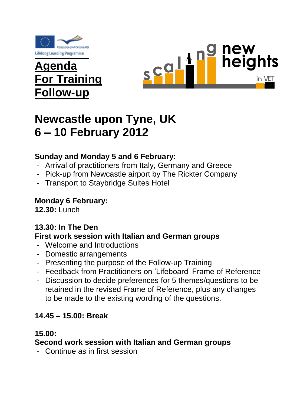

# **Agenda For Training Follow-up**



# **Newcastle upon Tyne, UK 6 – 10 February 2012**

# **Sunday and Monday 5 and 6 February:**

- Arrival of practitioners from Italy, Germany and Greece
- Pick-up from Newcastle airport by The Rickter Company
- Transport to Staybridge Suites Hotel

## **Monday 6 February:**

**12.30:** Lunch

## **13.30: In The Den**

#### **First work session with Italian and German groups**

- Welcome and Introductions
- Domestic arrangements
- Presenting the purpose of the Follow-up Training
- Feedback from Practitioners on 'Lifeboard' Frame of Reference
- Discussion to decide preferences for 5 themes/questions to be retained in the revised Frame of Reference, plus any changes to be made to the existing wording of the questions.

## **14.45 – 15.00: Break**

#### **15.00:**

#### **Second work session with Italian and German groups**

- Continue as in first session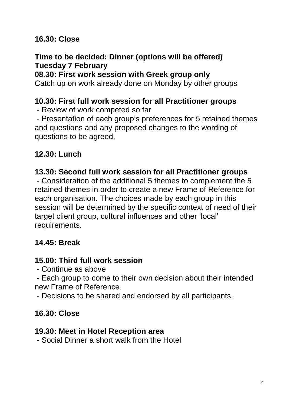## **16.30: Close**

## **Time to be decided: Dinner (options will be offered) Tuesday 7 February**

#### **08.30: First work session with Greek group only**

Catch up on work already done on Monday by other groups

### **10.30: First full work session for all Practitioner groups**

- Review of work competed so far

- Presentation of each group's preferences for 5 retained themes and questions and any proposed changes to the wording of questions to be agreed.

# **12.30: Lunch**

### **13.30: Second full work session for all Practitioner groups**

- Consideration of the additional 5 themes to complement the 5 retained themes in order to create a new Frame of Reference for each organisation. The choices made by each group in this session will be determined by the specific context of need of their target client group, cultural influences and other 'local' requirements.

# **14.45: Break**

## **15.00: Third full work session**

- Continue as above

- Each group to come to their own decision about their intended new Frame of Reference.

- Decisions to be shared and endorsed by all participants.

## **16.30: Close**

### **19.30: Meet in Hotel Reception area**

- Social Dinner a short walk from the Hotel